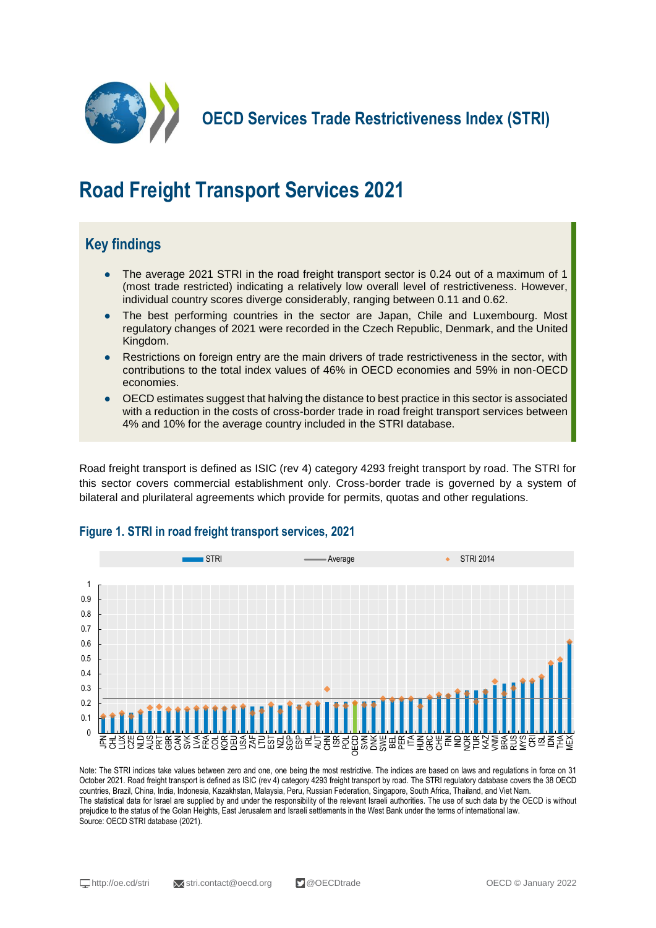

**OECD Services Trade Restrictiveness Index (STRI)**

# **Road Freight Transport Services 2021**

## **Key findings**

- The average 2021 STRI in the road freight transport sector is 0.24 out of a maximum of 1 (most trade restricted) indicating a relatively low overall level of restrictiveness. However, individual country scores diverge considerably, ranging between 0.11 and 0.62.
- The best performing countries in the sector are Japan, Chile and Luxembourg. Most regulatory changes of 2021 were recorded in the Czech Republic, Denmark, and the United Kingdom.
- Restrictions on foreign entry are the main drivers of trade restrictiveness in the sector, with contributions to the total index values of 46% in OECD economies and 59% in non-OECD economies.
- OECD estimates suggest that halving the distance to best practice in this sector is associated with a reduction in the costs of cross-border trade in road freight transport services between 4% and 10% for the average country included in the STRI database.

Road freight transport is defined as ISIC (rev 4) category 4293 freight transport by road. The STRI for this sector covers commercial establishment only. Cross-border trade is governed by a system of bilateral and plurilateral agreements which provide for permits, quotas and other regulations.



#### **Figure 1. STRI in road freight transport services, 2021**

Note: The STRI indices take values between zero and one, one being the most restrictive. The indices are based on laws and regulations in force on 31 October 2021. Road freight transport is defined as ISIC (rev 4) category 4293 freight transport by road. The STRI regulatory database covers the 38 OECD countries, Brazil, China, India, Indonesia, Kazakhstan, Malaysia, Peru, Russian Federation, Singapore, South Africa, Thailand, and Viet Nam. The statistical data for Israel are supplied by and under the responsibility of the relevant Israeli authorities. The use of such data by the OECD is without prejudice to the status of the Golan Heights, East Jerusalem and Israeli settlements in the West Bank under the terms of international law. Source: OECD STRI database (2021).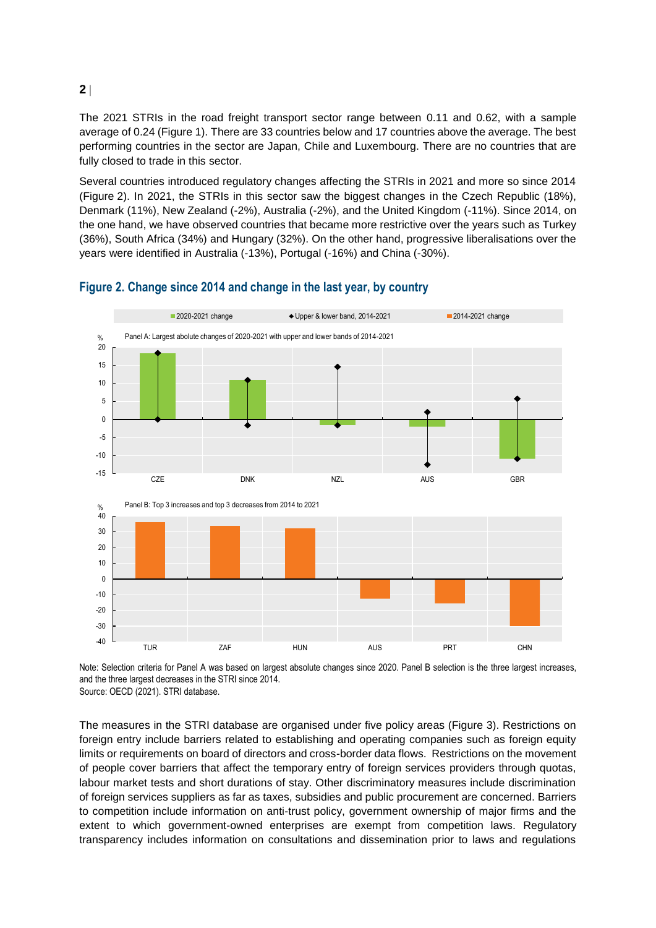#### The 2021 STRIs in the road freight transport sector range between 0.11 and 0.62, with a sample average of 0.24 (Figure 1). There are 33 countries below and 17 countries above the average. The best performing countries in the sector are Japan, Chile and Luxembourg. There are no countries that are fully closed to trade in this sector.

Several countries introduced regulatory changes affecting the STRIs in 2021 and more so since 2014 (Figure 2). In 2021, the STRIs in this sector saw the biggest changes in the Czech Republic (18%), Denmark (11%), New Zealand (-2%), Australia (-2%), and the United Kingdom (-11%). Since 2014, on the one hand, we have observed countries that became more restrictive over the years such as Turkey (36%), South Africa (34%) and Hungary (32%). On the other hand, progressive liberalisations over the years were identified in Australia (-13%), Portugal (-16%) and China (-30%).



#### **Figure 2. Change since 2014 and change in the last year, by country**

Note: Selection criteria for Panel A was based on largest absolute changes since 2020. Panel B selection is the three largest increases, and the three largest decreases in the STRI since 2014. Source: OECD (2021). STRI database.

The measures in the STRI database are organised under five policy areas (Figure 3). Restrictions on foreign entry include barriers related to establishing and operating companies such as foreign equity limits or requirements on board of directors and cross-border data flows. Restrictions on the movement of people cover barriers that affect the temporary entry of foreign services providers through quotas, labour market tests and short durations of stay. Other discriminatory measures include discrimination of foreign services suppliers as far as taxes, subsidies and public procurement are concerned. Barriers to competition include information on anti-trust policy, government ownership of major firms and the extent to which government-owned enterprises are exempt from competition laws. Regulatory transparency includes information on consultations and dissemination prior to laws and regulations

**2**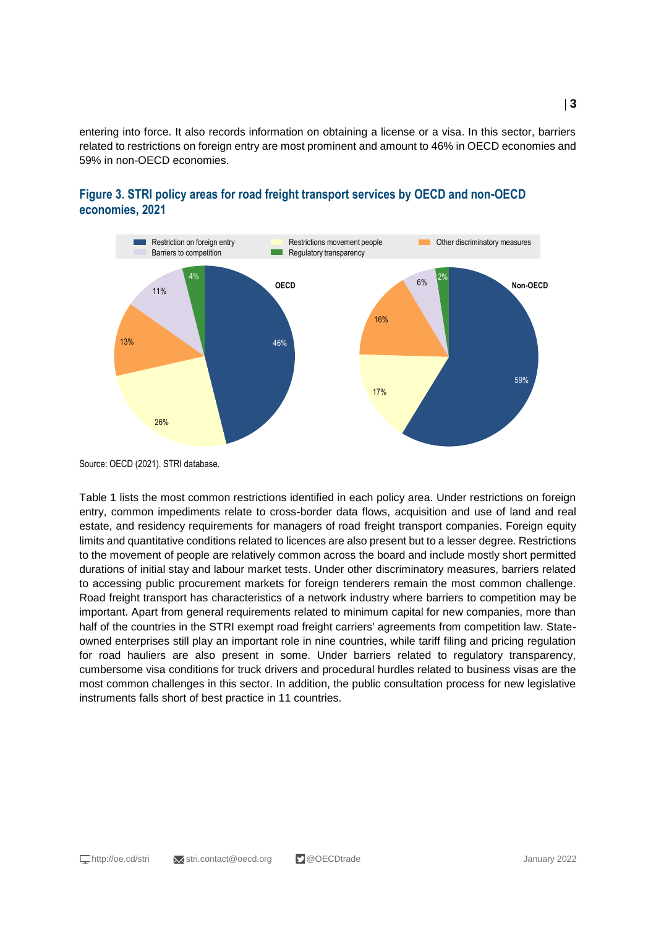entering into force. It also records information on obtaining a license or a visa. In this sector, barriers related to restrictions on foreign entry are most prominent and amount to 46% in OECD economies and 59% in non-OECD economies.



#### **Figure 3. STRI policy areas for road freight transport services by OECD and non-OECD economies, 2021**

Table 1 lists the most common restrictions identified in each policy area. Under restrictions on foreign entry, common impediments relate to cross-border data flows, acquisition and use of land and real estate, and residency requirements for managers of road freight transport companies. Foreign equity limits and quantitative conditions related to licences are also present but to a lesser degree. Restrictions to the movement of people are relatively common across the board and include mostly short permitted durations of initial stay and labour market tests. Under other discriminatory measures, barriers related to accessing public procurement markets for foreign tenderers remain the most common challenge. Road freight transport has characteristics of a network industry where barriers to competition may be important. Apart from general requirements related to minimum capital for new companies, more than half of the countries in the STRI exempt road freight carriers' agreements from competition law. Stateowned enterprises still play an important role in nine countries, while tariff filing and pricing regulation for road hauliers are also present in some. Under barriers related to regulatory transparency, cumbersome visa conditions for truck drivers and procedural hurdles related to business visas are the most common challenges in this sector. In addition, the public consultation process for new legislative instruments falls short of best practice in 11 countries.

Source: OECD (2021). STRI database.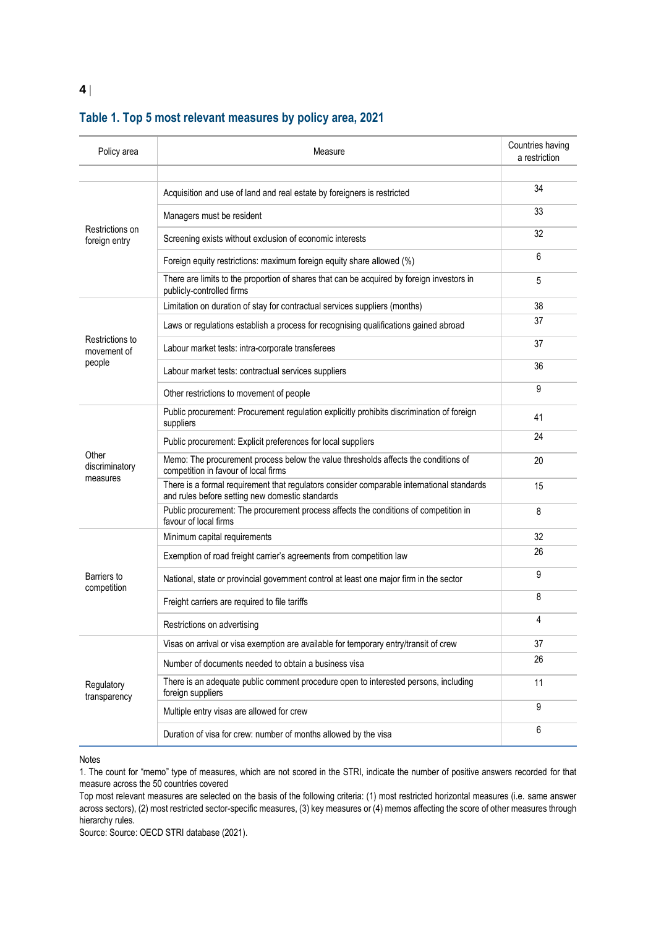| Policy area                              | Measure                                                                                                                                      | Countries having<br>a restriction |
|------------------------------------------|----------------------------------------------------------------------------------------------------------------------------------------------|-----------------------------------|
| Restrictions on<br>foreign entry         | Acquisition and use of land and real estate by foreigners is restricted                                                                      | 34                                |
|                                          | Managers must be resident                                                                                                                    | 33                                |
|                                          | Screening exists without exclusion of economic interests                                                                                     | 32                                |
|                                          | Foreign equity restrictions: maximum foreign equity share allowed (%)                                                                        | 6                                 |
|                                          | There are limits to the proportion of shares that can be acquired by foreign investors in<br>publicly-controlled firms                       | 5                                 |
| Restrictions to<br>movement of<br>people | Limitation on duration of stay for contractual services suppliers (months)                                                                   | 38                                |
|                                          | Laws or regulations establish a process for recognising qualifications gained abroad                                                         | 37                                |
|                                          | Labour market tests: intra-corporate transferees                                                                                             | 37                                |
|                                          | Labour market tests: contractual services suppliers                                                                                          | 36                                |
|                                          | Other restrictions to movement of people                                                                                                     | 9                                 |
| Other<br>discriminatory<br>measures      | Public procurement: Procurement regulation explicitly prohibits discrimination of foreign<br>suppliers                                       | 41                                |
|                                          | Public procurement: Explicit preferences for local suppliers                                                                                 | 24                                |
|                                          | Memo: The procurement process below the value thresholds affects the conditions of<br>competition in favour of local firms                   | 20                                |
|                                          | There is a formal requirement that regulators consider comparable international standards<br>and rules before setting new domestic standards | 15                                |
|                                          | Public procurement: The procurement process affects the conditions of competition in<br>favour of local firms                                | 8                                 |
| Barriers to<br>competition               | Minimum capital requirements                                                                                                                 | 32                                |
|                                          | Exemption of road freight carrier's agreements from competition law                                                                          | 26                                |
|                                          | National, state or provincial government control at least one major firm in the sector                                                       | 9                                 |
|                                          | Freight carriers are required to file tariffs                                                                                                | 8                                 |
|                                          | Restrictions on advertising                                                                                                                  | 4                                 |
| Regulatory<br>transparency               | Visas on arrival or visa exemption are available for temporary entry/transit of crew                                                         | 37                                |
|                                          | Number of documents needed to obtain a business visa                                                                                         | 26                                |
|                                          | There is an adequate public comment procedure open to interested persons, including<br>foreign suppliers                                     | 11                                |
|                                          | Multiple entry visas are allowed for crew                                                                                                    | 9                                 |
|                                          | Duration of visa for crew: number of months allowed by the visa                                                                              | 6                                 |

### **Table 1. Top 5 most relevant measures by policy area, 2021**

Notes

1. The count for "memo" type of measures, which are not scored in the STRI, indicate the number of positive answers recorded for that measure across the 50 countries covered

Top most relevant measures are selected on the basis of the following criteria: (1) most restricted horizontal measures (i.e. same answer across sectors), (2) most restricted sector-specific measures, (3) key measures or (4) memos affecting the score of other measures through hierarchy rules.

Source: Source: OECD STRI database (2021).

**4**